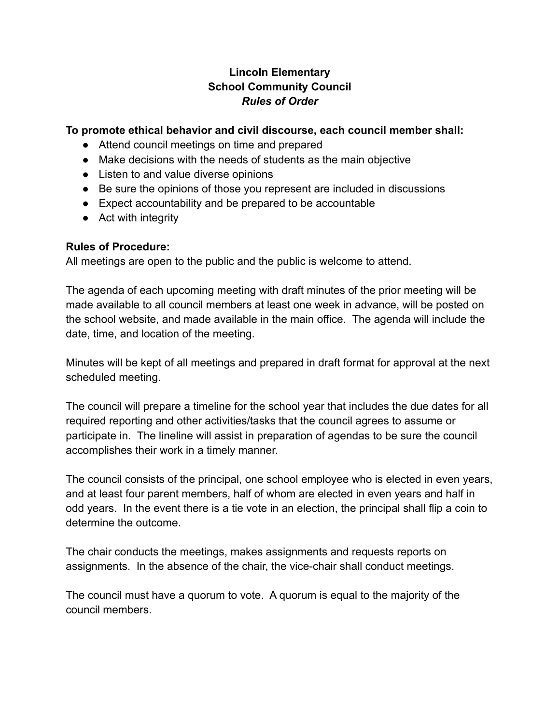## **Lincoln Elementary School Community Council** *Rules of Order*

## **To promote ethical behavior and civil discourse, each council member shall:**

- Attend council meetings on time and prepared
- Make decisions with the needs of students as the main objective
- Listen to and value diverse opinions
- Be sure the opinions of those you represent are included in discussions
- Expect accountability and be prepared to be accountable
- Act with integrity

## **Rules of Procedure:**

All meetings are open to the public and the public is welcome to attend.

The agenda of each upcoming meeting with draft minutes of the prior meeting will be made available to all council members at least one week in advance, will be posted on the school website, and made available in the main office. The agenda will include the date, time, and location of the meeting.

Minutes will be kept of all meetings and prepared in draft format for approval at the next scheduled meeting.

The council will prepare a timeline for the school year that includes the due dates for all required reporting and other activities/tasks that the council agrees to assume or participate in. The lineline will assist in preparation of agendas to be sure the council accomplishes their work in a timely manner.

The council consists of the principal, one school employee who is elected in even years, and at least four parent members, half of whom are elected in even years and half in odd years. In the event there is a tie vote in an election, the principal shall flip a coin to determine the outcome.

The chair conducts the meetings, makes assignments and requests reports on assignments. In the absence of the chair, the vice-chair shall conduct meetings.

The council must have a quorum to vote. A quorum is equal to the majority of the council members.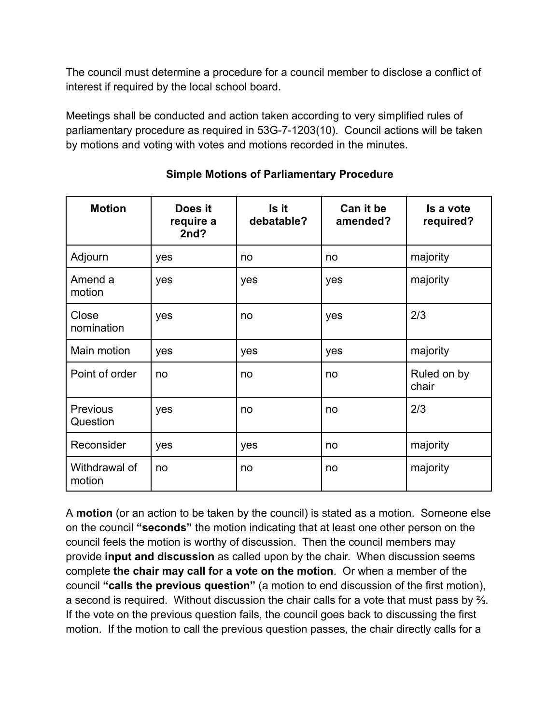The council must determine a procedure for a council member to disclose a conflict of interest if required by the local school board.

Meetings shall be conducted and action taken according to very simplified rules of parliamentary procedure as required in 53G-7-1203(10). Council actions will be taken by motions and voting with votes and motions recorded in the minutes.

| <b>Motion</b>               | Does it<br>require a<br>2nd? | Is it<br>debatable? | Can it be<br>amended? | Is a vote<br>required? |
|-----------------------------|------------------------------|---------------------|-----------------------|------------------------|
| Adjourn                     | yes                          | no                  | no                    | majority               |
| Amend a<br>motion           | yes                          | yes                 | yes                   | majority               |
| Close<br>nomination         | yes                          | no                  | yes                   | 2/3                    |
| Main motion                 | yes                          | yes                 | yes                   | majority               |
| Point of order              | no                           | no                  | no                    | Ruled on by<br>chair   |
| <b>Previous</b><br>Question | yes                          | no                  | no                    | 2/3                    |
| Reconsider                  | yes                          | yes                 | no                    | majority               |
| Withdrawal of<br>motion     | no                           | no                  | no                    | majority               |

**Simple Motions of Parliamentary Procedure**

A **motion** (or an action to be taken by the council) is stated as a motion. Someone else on the council **"seconds"** the motion indicating that at least one other person on the council feels the motion is worthy of discussion. Then the council members may provide **input and discussion** as called upon by the chair. When discussion seems complete **the chair may call for a vote on the motion**. Or when a member of the council **"calls the previous question"** (a motion to end discussion of the first motion), a second is required. Without discussion the chair calls for a vote that must pass by ⅔. If the vote on the previous question fails, the council goes back to discussing the first motion. If the motion to call the previous question passes, the chair directly calls for a